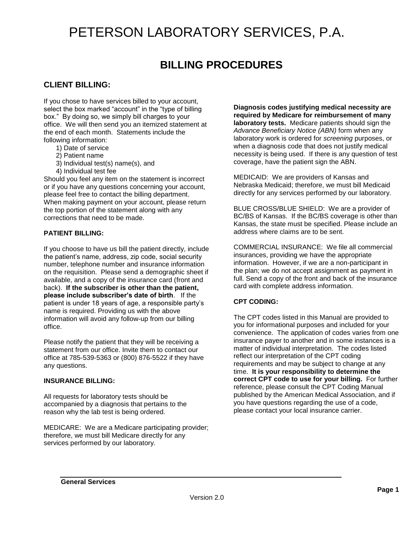# PETERSON LABORATORY SERVICES, P.A.

### **BILLING PROCEDURES**

### **CLIENT BILLING:**

If you chose to have services billed to your account, select the box marked "account" in the "type of billing box." By doing so, we simply bill charges to your office. We will then send you an itemized statement at the end of each month. Statements include the following information:

- 1) Date of service
- 2) Patient name
- 3) Individual test(s) name(s), and
- 4) Individual test fee

Should you feel any item on the statement is incorrect or if you have any questions concerning your account, please feel free to contact the billing department. When making payment on your account, please return the top portion of the statement along with any corrections that need to be made.

#### **PATIENT BILLING:**

If you choose to have us bill the patient directly, include the patient's name, address, zip code, social security number, telephone number and insurance information on the requisition. Please send a demographic sheet if available, and a copy of the insurance card (front and back). **If the subscriber is other than the patient, please include subscriber's date of birth**. If the patient is under 18 years of age, a responsible party's name is required. Providing us with the above information will avoid any follow-up from our billing office.

Please notify the patient that they will be receiving a statement from our office. Invite them to contact our office at 785-539-5363 or (800) 876-5522 if they have any questions.

#### **INSURANCE BILLING:**

All requests for laboratory tests should be accompanied by a diagnosis that pertains to the reason why the lab test is being ordered.

MEDICARE: We are a Medicare participating provider; therefore, we must bill Medicare directly for any services performed by our laboratory.

**Diagnosis codes justifying medical necessity are required by Medicare for reimbursement of many laboratory tests.** Medicare patients should sign the *Advance Beneficiary Notice (ABN)* form when any laboratory work is ordered for *screening* purposes, or when a diagnosis code that does not justify medical necessity is being used. If there is any question of test coverage, have the patient sign the ABN.

MEDICAID: We are providers of Kansas and Nebraska Medicaid; therefore, we must bill Medicaid directly for any services performed by our laboratory.

BLUE CROSS/BLUE SHIELD: We are a provider of BC/BS of Kansas. If the BC/BS coverage is other than Kansas, the state must be specified. Please include an address where claims are to be sent.

COMMERCIAL INSURANCE: We file all commercial insurances, providing we have the appropriate information. However, if we are a non-participant in the plan; we do not accept assignment as payment in full. Send a copy of the front and back of the insurance card with complete address information.

#### **CPT CODING:**

The CPT codes listed in this Manual are provided to you for informational purposes and included for your convenience. The application of codes varies from one insurance payer to another and in some instances is a matter of individual interpretation. The codes listed reflect our interpretation of the CPT coding requirements and may be subject to change at any time. **It is your responsibility to determine the correct CPT code to use for your billing.** For further reference, please consult the CPT Coding Manual published by the American Medical Association, and if you have questions regarding the use of a code, please contact your local insurance carrier.